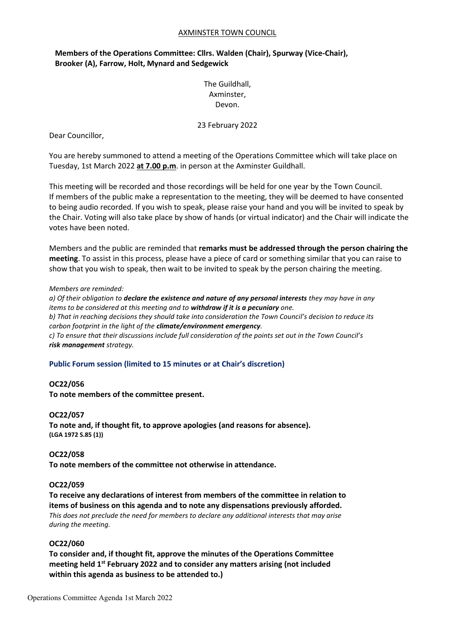#### AXMINSTER TOWN COUNCIL

# **Members of the Operations Committee: Cllrs. Walden (Chair), Spurway (Vice-Chair), Brooker (A), Farrow, Holt, Mynard and Sedgewick**

# The Guildhall, Axminster, Devon.

23 February 2022

Dear Councillor,

You are hereby summoned to attend a meeting of the Operations Committee which will take place on Tuesday, 1st March 2022 **at 7.00 p.m**. in person at the Axminster Guildhall.

This meeting will be recorded and those recordings will be held for one year by the Town Council. If members of the public make a representation to the meeting, they will be deemed to have consented to being audio recorded. If you wish to speak, please raise your hand and you will be invited to speak by the Chair. Voting will also take place by show of hands (or virtual indicator) and the Chair will indicate the votes have been noted.

Members and the public are reminded that **remarks must be addressed through the person chairing the meeting**. To assist in this process, please have a piece of card or something similar that you can raise to show that you wish to speak, then wait to be invited to speak by the person chairing the meeting.

#### *Members are reminded:*

*a) Of their obligation to declare the existence and nature of any personal interests they may have in any items to be considered at this meeting and to withdraw if it is a pecuniary one. b) That in reaching decisions they should take into consideration the Town Council's decision to reduce its carbon footprint in the light of the climate/environment emergency. c) To ensure that their discussions include full consideration of the points set out in the Town Council's risk management strategy.*

#### **Public Forum session (limited to 15 minutes or at Chair's discretion)**

#### **OC22/056**

**To note members of the committee present.**

#### **OC22/057**

**To note and, if thought fit, to approve apologies (and reasons for absence). (LGA 1972 S.85 (1))**

#### **OC22/058**

**To note members of the committee not otherwise in attendance.**

#### **OC22/059**

**To receive any declarations of interest from members of the committee in relation to items of business on this agenda and to note any dispensations previously afforded.** *This does not preclude the need for members to declare any additional interests that may arise during the meeting.*

#### **OC22/060**

**To consider and, if thought fit, approve the minutes of the Operations Committee meeting held 1 st February 2022 and to consider any matters arising (not included within this agenda as business to be attended to.)**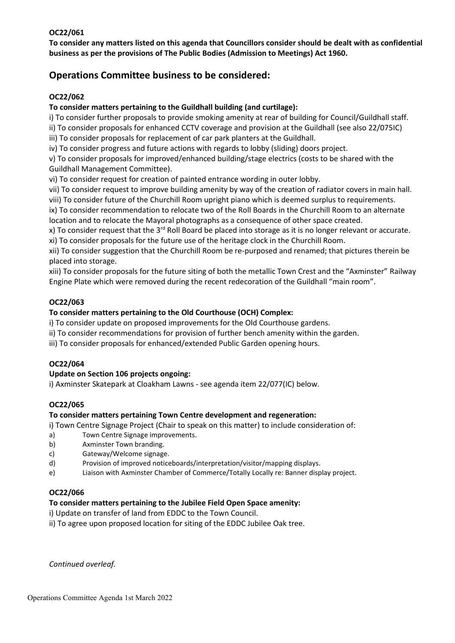### **OC22/061**

**To consider any matters listed on this agenda that Councillors consider should be dealt with as confidential business as per the provisions of The Public Bodies (Admission to Meetings) Act 1960.**

# **Operations Committee business to be considered:**

### **OC22/062**

### **To consider matters pertaining to the Guildhall building (and curtilage):**

i) To consider further proposals to provide smoking amenity at rear of building for Council/Guildhall staff.

ii) To consider proposals for enhanced CCTV coverage and provision at the Guildhall (see also 22/075IC) iii) To consider proposals for replacement of car park planters at the Guildhall.

iv) To consider progress and future actions with regards to lobby (sliding) doors project.

v) To consider proposals for improved/enhanced building/stage electrics (costs to be shared with the Guildhall Management Committee).

vi) To consider request for creation of painted entrance wording in outer lobby.

vii) To consider request to improve building amenity by way of the creation of radiator covers in main hall. viii) To consider future of the Churchill Room upright piano which is deemed surplus to requirements.

ix) To consider recommendation to relocate two of the Roll Boards in the Churchill Room to an alternate location and to relocate the Mayoral photographs as a consequence of other space created.

x) To consider request that the 3<sup>rd</sup> Roll Board be placed into storage as it is no longer relevant or accurate. xi) To consider proposals for the future use of the heritage clock in the Churchill Room.

xii) To consider suggestion that the Churchill Room be re-purposed and renamed; that pictures therein be placed into storage.

xiii) To consider proposals for the future siting of both the metallic Town Crest and the "Axminster" Railway Engine Plate which were removed during the recent redecoration of the Guildhall "main room".

### **OC22/063**

### **To consider matters pertaining to the Old Courthouse (OCH) Complex:**

i) To consider update on proposed improvements for the Old Courthouse gardens.

- ii) To consider recommendations for provision of further bench amenity within the garden.
- iii) To consider proposals for enhanced/extended Public Garden opening hours.

#### **OC22/064**

#### **Update on Section 106 projects ongoing:**

i) Axminster Skatepark at Cloakham Lawns - see agenda item 22/077(IC) below.

#### **OC22/065**

#### **To consider matters pertaining Town Centre development and regeneration:**

- i) Town Centre Signage Project (Chair to speak on this matter) to include consideration of:
- a) Town Centre Signage improvements.
- b) Axminster Town branding.
- c) Gateway/Welcome signage.
- d) Provision of improved noticeboards/interpretation/visitor/mapping displays.
- e) Liaison with Axminster Chamber of Commerce/Totally Locally re: Banner display project.

#### **OC22/066**

#### **To consider matters pertaining to the Jubilee Field Open Space amenity:**

i) Update on transfer of land from EDDC to the Town Council.

ii) To agree upon proposed location for siting of the EDDC Jubilee Oak tree.

*Continued overleaf.*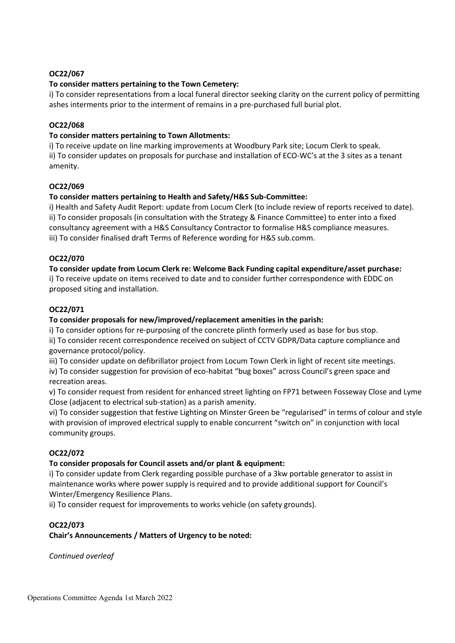### **OC22/067**

### **To consider matters pertaining to the Town Cemetery:**

i) To consider representations from a local funeral director seeking clarity on the current policy of permitting ashes interments prior to the interment of remains in a pre-purchased full burial plot.

### **OC22/068**

### **To consider matters pertaining to Town Allotments:**

i) To receive update on line marking improvements at Woodbury Park site; Locum Clerk to speak. ii) To consider updates on proposals for purchase and installation of ECO-WC's at the 3 sites as a tenant amenity.

### **OC22/069**

### **To consider matters pertaining to Health and Safety/H&S Sub-Committee:**

i) Health and Safety Audit Report: update from Locum Clerk (to include review of reports received to date). ii) To consider proposals (in consultation with the Strategy & Finance Committee) to enter into a fixed consultancy agreement with a H&S Consultancy Contractor to formalise H&S compliance measures. iii) To consider finalised draft Terms of Reference wording for H&S sub.comm.

### **OC22/070**

**To consider update from Locum Clerk re: Welcome Back Funding capital expenditure/asset purchase:**

i) To receive update on items received to date and to consider further correspondence with EDDC on proposed siting and installation.

### **OC22/071**

### **To consider proposals for new/improved/replacement amenities in the parish:**

i) To consider options for re-purposing of the concrete plinth formerly used as base for bus stop. ii) To consider recent correspondence received on subject of CCTV GDPR/Data capture compliance and governance protocol/policy.

iii) To consider update on defibrillator project from Locum Town Clerk in light of recent site meetings.

iv) To consider suggestion for provision of eco-habitat "bug boxes" across Council's green space and recreation areas.

v) To consider request from resident for enhanced street lighting on FP71 between Fosseway Close and Lyme Close (adjacent to electrical sub-station) as a parish amenity.

vi) To consider suggestion that festive Lighting on Minster Green be "regularised" in terms of colour and style with provision of improved electrical supply to enable concurrent "switch on" in conjunction with local community groups.

# **OC22/072**

#### **To consider proposals for Council assets and/or plant & equipment:**

i) To consider update from Clerk regarding possible purchase of a 3kw portable generator to assist in maintenance works where power supply is required and to provide additional support for Council's Winter/Emergency Resilience Plans.

ii) To consider request for improvements to works vehicle (on safety grounds).

# **OC22/073**

**Chair's Announcements / Matters of Urgency to be noted:**

*Continued overleaf*